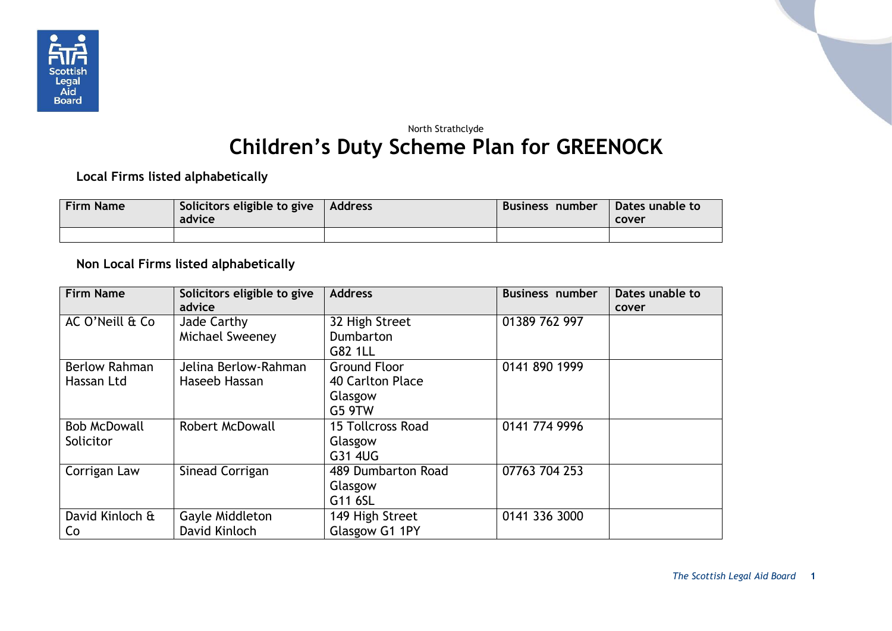

## North Strathclyde **Children's Duty Scheme Plan for GREENOCK**

**Local Firms listed alphabetically**

| <b>Firm Name</b> | Solicitors eligible to give<br>advice | Address | Business number | Dates unable to<br>cover |
|------------------|---------------------------------------|---------|-----------------|--------------------------|
|                  |                                       |         |                 |                          |

## **Non Local Firms listed alphabetically**

| <b>Firm Name</b>     | Solicitors eligible to give | <b>Address</b>      | <b>Business number</b> | Dates unable to |
|----------------------|-----------------------------|---------------------|------------------------|-----------------|
|                      | advice                      |                     |                        | cover           |
| AC O'Neill & Co      | Jade Carthy                 | 32 High Street      | 01389 762 997          |                 |
|                      | Michael Sweeney             | Dumbarton           |                        |                 |
|                      |                             | G82 1LL             |                        |                 |
| <b>Berlow Rahman</b> | Jelina Berlow-Rahman        | <b>Ground Floor</b> | 0141 890 1999          |                 |
| Hassan Ltd           | Haseeb Hassan               | 40 Carlton Place    |                        |                 |
|                      |                             | Glasgow             |                        |                 |
|                      |                             | <b>G5 9TW</b>       |                        |                 |
| <b>Bob McDowall</b>  | <b>Robert McDowall</b>      | 15 Tollcross Road   | 0141 774 9996          |                 |
| Solicitor            |                             | Glasgow             |                        |                 |
|                      |                             | G31 4UG             |                        |                 |
| Corrigan Law         | Sinead Corrigan             | 489 Dumbarton Road  | 07763 704 253          |                 |
|                      |                             | Glasgow             |                        |                 |
|                      |                             | G11 6SL             |                        |                 |
| David Kinloch &      | Gayle Middleton             | 149 High Street     | 0141 336 3000          |                 |
| Co                   | David Kinloch               | Glasgow G1 1PY      |                        |                 |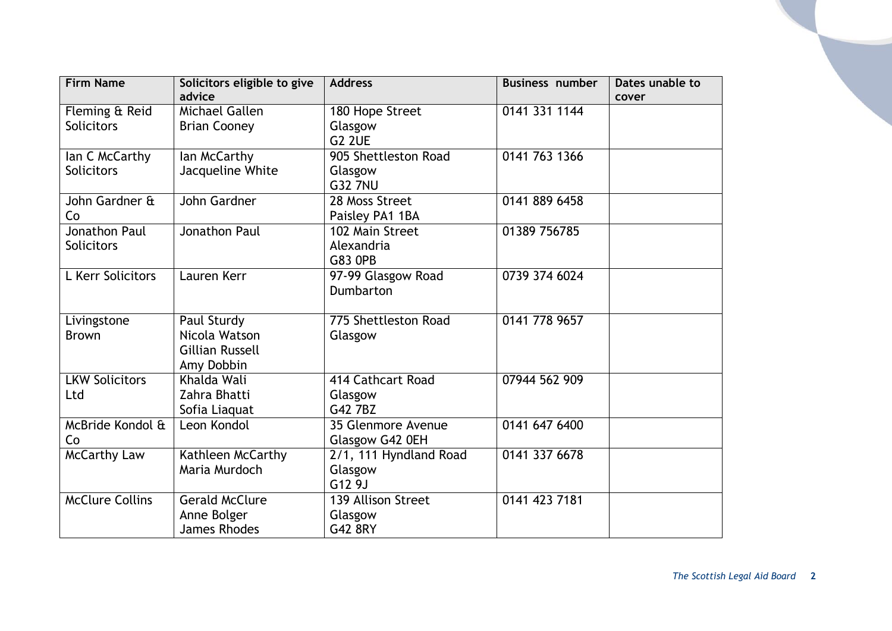| <b>Firm Name</b>       | Solicitors eligible to give | <b>Address</b>                      | <b>Business number</b> | Dates unable to |
|------------------------|-----------------------------|-------------------------------------|------------------------|-----------------|
|                        | advice                      |                                     |                        | cover           |
| Fleming & Reid         | Michael Gallen              | 180 Hope Street                     | 0141 331 1144          |                 |
| <b>Solicitors</b>      | <b>Brian Cooney</b>         | Glasgow                             |                        |                 |
|                        |                             | <b>G2 2UE</b>                       |                        |                 |
| lan C McCarthy         | lan McCarthy                | 905 Shettleston Road                | 0141 763 1366          |                 |
| <b>Solicitors</b>      | Jacqueline White            | Glasgow                             |                        |                 |
|                        |                             | <b>G32 7NU</b>                      |                        |                 |
| John Gardner &         | John Gardner                | 28 Moss Street                      | 0141 889 6458          |                 |
| Co                     |                             | Paisley PA1 1BA                     |                        |                 |
| Jonathon Paul          | Jonathon Paul               | 102 Main Street                     | 01389 756785           |                 |
| Solicitors             |                             | Alexandria                          |                        |                 |
|                        |                             | <b>G83 OPB</b>                      |                        |                 |
| L Kerr Solicitors      | Lauren Kerr                 | 97-99 Glasgow Road                  | 0739 374 6024          |                 |
|                        |                             | Dumbarton                           |                        |                 |
|                        |                             |                                     |                        |                 |
| Livingstone            | Paul Sturdy                 | 775 Shettleston Road                | 0141 778 9657          |                 |
| <b>Brown</b>           | Nicola Watson               | Glasgow                             |                        |                 |
|                        | <b>Gillian Russell</b>      |                                     |                        |                 |
|                        | Amy Dobbin                  |                                     |                        |                 |
| <b>LKW Solicitors</b>  | Khalda Wali                 | 414 Cathcart Road                   | 07944 562 909          |                 |
| Ltd                    | Zahra Bhatti                | Glasgow                             |                        |                 |
|                        | Sofia Liaquat               | G42 7BZ                             |                        |                 |
| McBride Kondol &       | Leon Kondol                 | 35 Glenmore Avenue                  | 0141 647 6400          |                 |
| Co                     |                             | Glasgow G42 0EH                     |                        |                 |
| <b>McCarthy Law</b>    | Kathleen McCarthy           | $\overline{2/1, 111}$ Hyndland Road | 0141 337 6678          |                 |
|                        | Maria Murdoch               | Glasgow                             |                        |                 |
|                        |                             | G12 9J                              |                        |                 |
| <b>McClure Collins</b> | <b>Gerald McClure</b>       | 139 Allison Street                  | 0141 423 7181          |                 |
|                        | Anne Bolger                 | Glasgow                             |                        |                 |
|                        | <b>James Rhodes</b>         | G42 8RY                             |                        |                 |